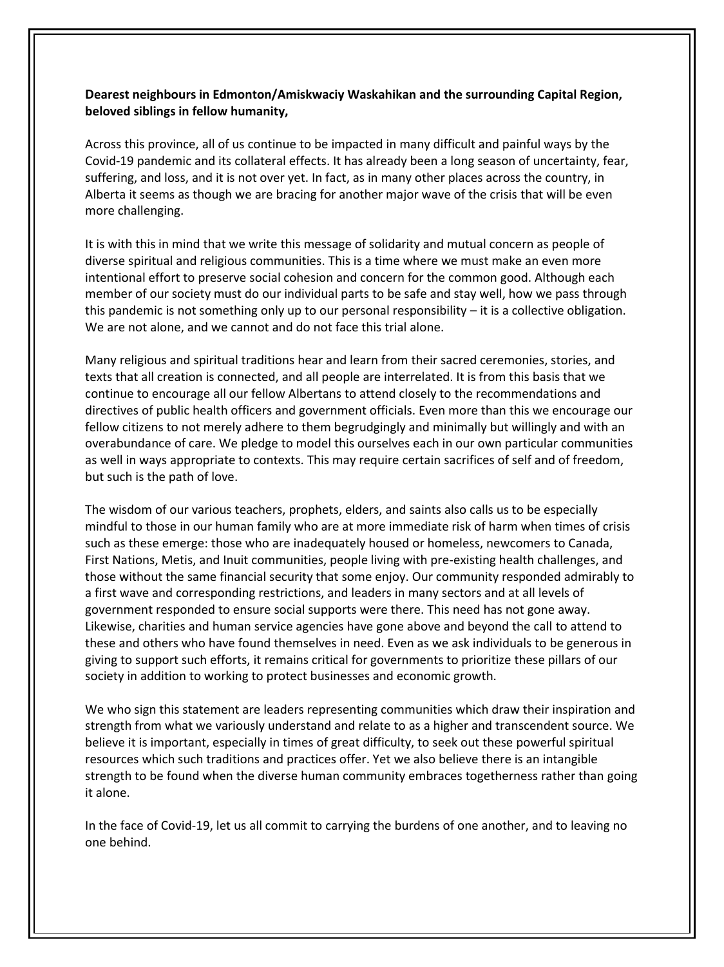## **Dearest neighbours in Edmonton/Amiskwaciy Waskahikan and the surrounding Capital Region, beloved siblings in fellow humanity,**

Across this province, all of us continue to be impacted in many difficult and painful ways by the Covid-19 pandemic and its collateral effects. It has already been a long season of uncertainty, fear, suffering, and loss, and it is not over yet. In fact, as in many other places across the country, in Alberta it seems as though we are bracing for another major wave of the crisis that will be even more challenging.

It is with this in mind that we write this message of solidarity and mutual concern as people of diverse spiritual and religious communities. This is a time where we must make an even more intentional effort to preserve social cohesion and concern for the common good. Although each member of our society must do our individual parts to be safe and stay well, how we pass through this pandemic is not something only up to our personal responsibility  $-$  it is a collective obligation. We are not alone, and we cannot and do not face this trial alone.

Many religious and spiritual traditions hear and learn from their sacred ceremonies, stories, and texts that all creation is connected, and all people are interrelated. It is from this basis that we continue to encourage all our fellow Albertans to attend closely to the recommendations and directives of public health officers and government officials. Even more than this we encourage our fellow citizens to not merely adhere to them begrudgingly and minimally but willingly and with an overabundance of care. We pledge to model this ourselves each in our own particular communities as well in ways appropriate to contexts. This may require certain sacrifices of self and of freedom, but such is the path of love.

The wisdom of our various teachers, prophets, elders, and saints also calls us to be especially mindful to those in our human family who are at more immediate risk of harm when times of crisis such as these emerge: those who are inadequately housed or homeless, newcomers to Canada, First Nations, Metis, and Inuit communities, people living with pre-existing health challenges, and those without the same financial security that some enjoy. Our community responded admirably to a first wave and corresponding restrictions, and leaders in many sectors and at all levels of government responded to ensure social supports were there. This need has not gone away. Likewise, charities and human service agencies have gone above and beyond the call to attend to these and others who have found themselves in need. Even as we ask individuals to be generous in giving to support such efforts, it remains critical for governments to prioritize these pillars of our society in addition to working to protect businesses and economic growth.

We who sign this statement are leaders representing communities which draw their inspiration and strength from what we variously understand and relate to as a higher and transcendent source. We believe it is important, especially in times of great difficulty, to seek out these powerful spiritual resources which such traditions and practices offer. Yet we also believe there is an intangible strength to be found when the diverse human community embraces togetherness rather than going it alone.

In the face of Covid-19, let us all commit to carrying the burdens of one another, and to leaving no one behind.